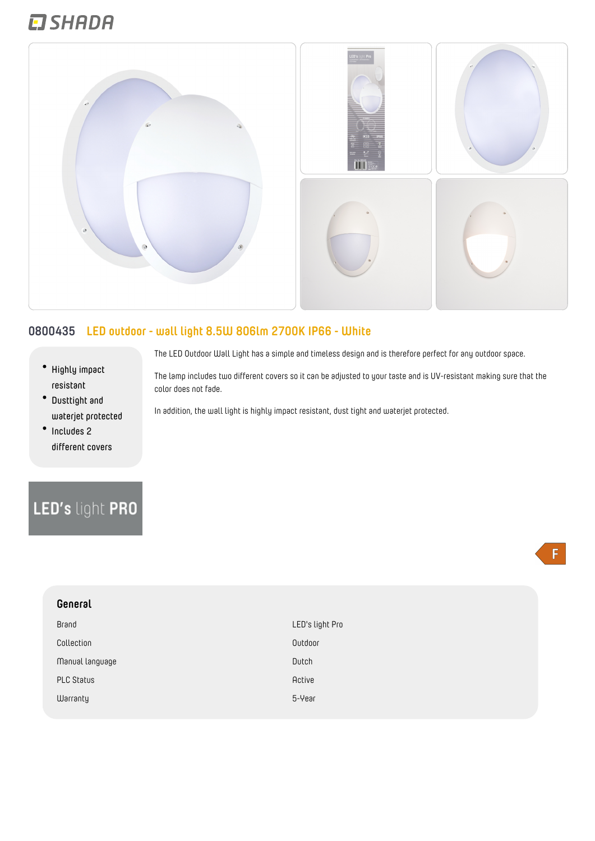## **EI SHADA**



#### **0800435 LED outdoor - wall light 8.5W 806lm 2700K IP66 - White**

- **Highly impact resistant**
- **Dusttight and waterjet protected**
- **Includes 2 different covers**

The LED Outdoor Wall Light has a simple and timeless design and is therefore perfect for any outdoor space.

The lamp includes two different covers so it can be adjusted to your taste and is UV-resistant making sure that the color does not fade.

In addition, the wall light is highly impact resistant, dust tight and waterjet protected.

# **LED's light PRO**

| General           |                 |
|-------------------|-----------------|
| Brand             | LED's light Pro |
| Collection        | Outdoor         |
| Manual language   | Dutch           |
| <b>PLC Status</b> | Active          |
| Warranty          | 5-Year          |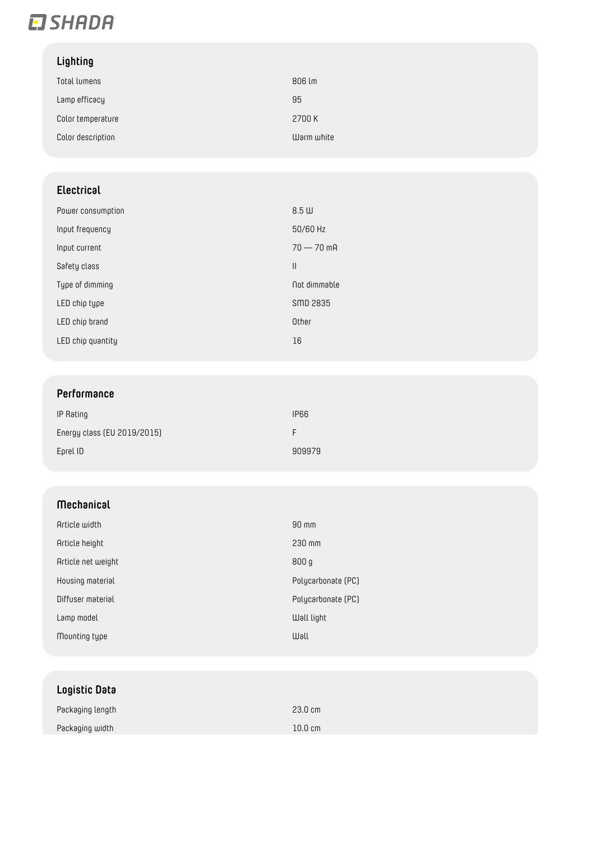# **EJ SHADA**

#### **Lighting**

| Total lumens      | 806 lm     |
|-------------------|------------|
| Lamp efficacy     | 95         |
| Color temperature | 2700 K     |
| Color description | Warm white |

#### **Electrical**

| Power consumption | $8.5 \text{ W}$ |
|-------------------|-----------------|
| Input frequency   | 50/60 Hz        |
| Input current     | $70 - 70$ mA    |
| Safety class      | $\mathbf{I}$    |
| Type of dimming   | Not dimmable    |
| LED chip type     | SMD 2835        |
| LED chip brand    | Other           |
| LED chip quantity | 16              |

#### **Performance**

| IP Rating                   | <b>IP66</b> |
|-----------------------------|-------------|
| Energy class (EU 2019/2015) |             |
| Eprel ID                    | 909979      |

#### **Mechanical**

| Article width      | $90$ mm            |
|--------------------|--------------------|
| Article height     | 230 mm             |
| Article net weight | 800 g              |
| Housing material   | Polycarbonate (PC) |
| Diffuser material  | Polycarbonate (PC) |
| Lamp model         | Wall light         |
| Mounting type      | Wall               |
|                    |                    |

### **Logistic Data**

| Packaging length | $23.0 \text{ cm}$ |
|------------------|-------------------|
| Packaging width  | $10.0 \text{ cm}$ |